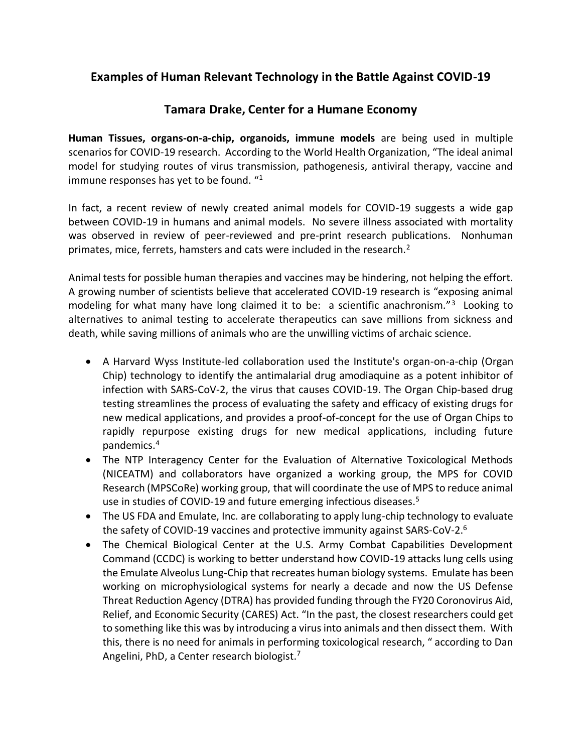## **Examples of Human Relevant Technology in the Battle Against COVID-19**

## **Tamara Drake, Center for a Humane Economy**

**Human Tissues, organs-on-a-chip, organoids, immune models** are being used in multiple scenarios for COVID-19 research. According to the World Health Organization, "The ideal animal model for studying routes of virus transmission, pathogenesis, antiviral therapy, vaccine and immune responses has yet to be found. " 1

In fact, a recent review of newly created animal models for COVID-19 suggests a wide gap between COVID-19 in humans and animal models. No severe illness associated with mortality was observed in review of peer-reviewed and pre-print research publications. Nonhuman primates, mice, ferrets, hamsters and cats were included in the research.<sup>2</sup>

Animal tests for possible human therapies and vaccines may be hindering, not helping the effort. A growing number of scientists believe that accelerated COVID-19 research is "exposing animal modeling for what many have long claimed it to be: a scientific anachronism."<sup>3</sup> Looking to alternatives to animal testing to accelerate therapeutics can save millions from sickness and death, while saving millions of animals who are the unwilling victims of archaic science.

- A Harvard Wyss Institute-led collaboration used the Institute's organ-on-a-chip (Organ Chip) technology to identify the antimalarial drug amodiaquine as a potent inhibitor of infection with SARS-CoV-2, the virus that causes COVID-19. The Organ Chip-based drug testing streamlines the process of evaluating the safety and efficacy of existing drugs for new medical applications, and provides a proof-of-concept for the use of Organ Chips to rapidly repurpose existing drugs for new medical applications, including future pandemics.<sup>4</sup>
- The NTP Interagency Center for the Evaluation of Alternative Toxicological Methods (NICEATM) and collaborators have organized a working group, the MPS for COVID Research (MPSCoRe) working group, that will coordinate the use of MPS to reduce animal use in studies of COVID-19 and future emerging infectious diseases.<sup>5</sup>
- The US FDA and Emulate, Inc. are collaborating to apply lung-chip technology to evaluate the safety of COVID-19 vaccines and protective immunity against SARS-CoV-2.<sup>6</sup>
- The Chemical Biological Center at the U.S. Army Combat Capabilities Development Command (CCDC) is working to better understand how COVID-19 attacks lung cells using the Emulate Alveolus Lung-Chip that recreates human biology systems. Emulate has been working on microphysiological systems for nearly a decade and now the US Defense Threat Reduction Agency (DTRA) has provided funding through the FY20 Coronovirus Aid, Relief, and Economic Security (CARES) Act. "In the past, the closest researchers could get to something like this was by introducing a virus into animals and then dissect them. With this, there is no need for animals in performing toxicological research, " according to Dan Angelini, PhD, a Center research biologist. $<sup>7</sup>$ </sup>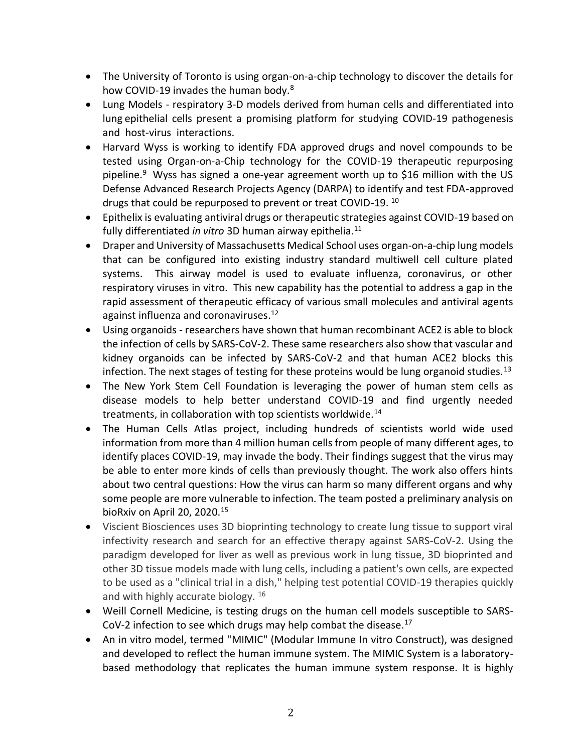- The University of Toronto is using organ-on-a-chip technology to discover the details for how COVID-19 invades the human body.<sup>8</sup>
- Lung Models respiratory 3-D models derived from human cells and differentiated into lung epithelial cells present a promising platform for studying COVID-19 pathogenesis and host-virus interactions.
- Harvard Wyss is working to identify FDA approved drugs and novel compounds to be tested using Organ-on-a-Chip technology for the COVID-19 therapeutic repurposing pipeline.<sup>9</sup> Wyss has signed a one-year agreement worth up to \$16 million with the US Defense Advanced Research Projects Agency (DARPA) to identify and test FDA-approved drugs that could be repurposed to prevent or treat COVID-19. 10
- Epithelix is evaluating antiviral drugs or therapeutic strategies against COVID-19 based on fully differentiated *in vitro* 3D human airway epithelia.<sup>11</sup>
- Draper and University of Massachusetts Medical School uses organ-on-a-chip lung models that can be configured into existing industry standard multiwell cell culture plated systems. This airway model is used to evaluate influenza, coronavirus, or other respiratory viruses in vitro. This new capability has the potential to address a gap in the rapid assessment of therapeutic efficacy of various small molecules and antiviral agents against influenza and coronaviruses.<sup>12</sup>
- Using organoids researchers have shown that human recombinant ACE2 is able to block the infection of cells by SARS-CoV-2. These same researchers also show that vascular and kidney organoids can be infected by SARS-CoV-2 and that human ACE2 blocks this infection. The next stages of testing for these proteins would be lung organoid studies.<sup>13</sup>
- The New York Stem Cell Foundation is leveraging the power of human stem cells as disease models to help better understand COVID-19 and find urgently needed treatments, in collaboration with top scientists worldwide.<sup>14</sup>
- The Human Cells Atlas project, including hundreds of scientists world wide used information from more than 4 million human cells from people of many different ages, to identify places COVID-19, may invade the body. Their findings suggest that the virus may be able to enter more kinds of cells than previously thought. The work also offers hints about two central questions: How the virus can harm so many different organs and why some people are more vulnerable to infection. The team posted a preliminary analysis on bioRxiv on April 20, 2020. $15$
- Viscient Biosciences uses 3D bioprinting technology to create lung tissue to support viral infectivity research and search for an effective therapy against SARS-CoV-2. Using the paradigm developed for liver as well as previous work in lung tissue, 3D bioprinted and other 3D tissue models made with lung cells, including a patient's own cells, are expected to be used as a "clinical trial in a dish," helping test potential COVID-19 therapies quickly and with highly accurate biology. <sup>16</sup>
- Weill Cornell Medicine, is testing drugs on the human cell models susceptible to SARS-CoV-2 infection to see which drugs may help combat the disease.<sup>17</sup>
- An in vitro model, termed "MIMIC" (Modular Immune In vitro Construct), was designed and developed to reflect the human immune system. The MIMIC System is a laboratorybased methodology that replicates the human immune system response. It is highly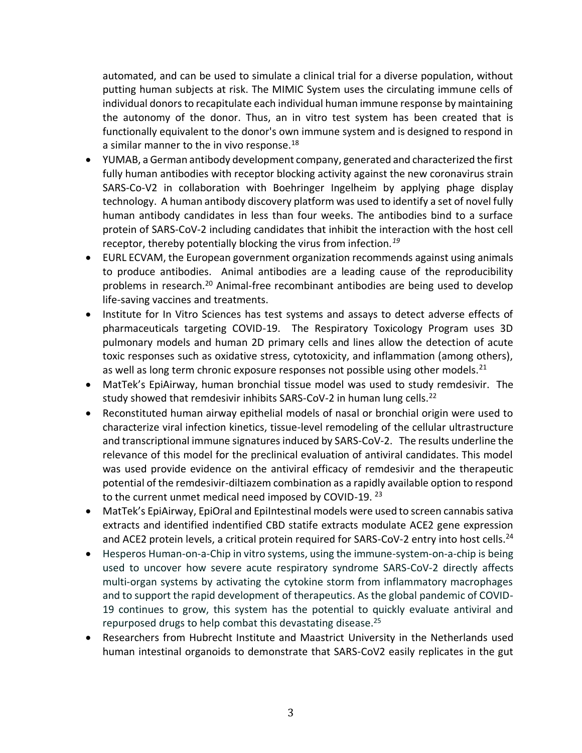automated, and can be used to simulate a clinical trial for a diverse population, without putting human subjects at risk. The MIMIC System uses the circulating immune cells of individual donors to recapitulate each individual human immune response by maintaining the autonomy of the donor. Thus, an in vitro test system has been created that is functionally equivalent to the donor's own immune system and is designed to respond in a similar manner to the in vivo response.<sup>18</sup>

- YUMAB, a German antibody development company, generated and characterized the first fully human antibodies with receptor blocking activity against the new coronavirus strain SARS-Co-V2 in collaboration with Boehringer Ingelheim by applying phage display technology. A human antibody discovery platform was used to identify a set of novel fully human antibody candidates in less than four weeks. The antibodies bind to a surface protein of SARS-CoV-2 including candidates that inhibit the interaction with the host cell receptor, thereby potentially blocking the virus from infection*. 19*
- EURL ECVAM, the European government organization recommends against using animals to produce antibodies. Animal antibodies are a leading cause of the reproducibility problems in research.<sup>20</sup> Animal-free recombinant antibodies are being used to develop life-saving vaccines and treatments.
- Institute for In Vitro Sciences has test systems and assays to detect adverse effects of pharmaceuticals targeting COVID-19. The Respiratory Toxicology Program uses 3D pulmonary models and human 2D primary cells and lines allow the detection of acute toxic responses such as oxidative stress, cytotoxicity, and inflammation (among others), as well as long term chronic exposure responses not possible using other models.<sup>21</sup>
- MatTek's EpiAirway, human bronchial tissue model was used to study remdesivir. The study showed that remdesivir inhibits SARS-CoV-2 in human lung cells.<sup>22</sup>
- Reconstituted human airway epithelial models of nasal or bronchial origin were used to characterize viral infection kinetics, tissue-level remodeling of the cellular ultrastructure and transcriptional immune signatures induced by SARS-CoV-2. The results underline the relevance of this model for the preclinical evaluation of antiviral candidates. This model was used provide evidence on the antiviral efficacy of remdesivir and the therapeutic potential of the remdesivir-diltiazem combination as a rapidly available option to respond to the current unmet medical need imposed by COVID-19.<sup>23</sup>
- MatTek's EpiAirway, EpiOral and EpiIntestinal models were used to screen cannabis sativa extracts and identified indentified CBD statife extracts modulate ACE2 gene expression and ACE2 protein levels, a critical protein required for SARS-CoV-2 entry into host cells.<sup>24</sup>
- Hesperos Human-on-a-Chip in vitro systems, using the immune-system-on-a-chip is being used to uncover how severe acute respiratory syndrome SARS-CoV-2 directly affects multi-organ systems by activating the cytokine storm from inflammatory macrophages and to support the rapid development of therapeutics. As the global pandemic of COVID-19 continues to grow, this system has the potential to quickly evaluate antiviral and repurposed drugs to help combat this devastating disease.<sup>25</sup>
- Researchers from Hubrecht Institute and Maastrict University in the Netherlands used human intestinal organoids to demonstrate that SARS-CoV2 easily replicates in the gut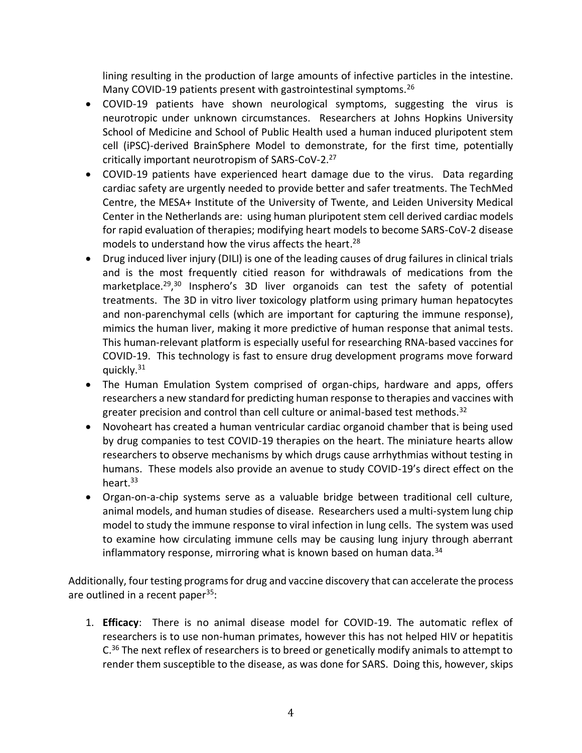lining resulting in the production of large amounts of infective particles in the intestine. Many COVID-19 patients present with gastrointestinal symptoms.<sup>26</sup>

- COVID-19 patients have shown neurological symptoms, suggesting the virus is neurotropic under unknown circumstances. Researchers at Johns Hopkins University School of Medicine and School of Public Health used a human induced pluripotent stem cell (iPSC)-derived BrainSphere Model to demonstrate, for the first time, potentially critically important neurotropism of SARS-CoV-2.<sup>27</sup>
- COVID-19 patients have experienced heart damage due to the virus. Data regarding cardiac safety are urgently needed to provide better and safer treatments. The TechMed Centre, the MESA+ Institute of the University of Twente, and Leiden University Medical Center in the Netherlands are: using human pluripotent stem cell derived cardiac models for rapid evaluation of therapies; modifying heart models to become SARS-CoV-2 disease models to understand how the virus affects the heart. 28
- Drug induced liver injury (DILI) is one of the leading causes of drug failures in clinical trials and is the most frequently citied reason for withdrawals of medications from the marketplace.<sup>29,30</sup> Insphero's 3D liver organoids can test the safety of potential treatments. The 3D in vitro liver toxicology platform using primary human hepatocytes and non-parenchymal cells (which are important for capturing the immune response), mimics the human liver, making it more predictive of human response that animal tests. This human-relevant platform is especially useful for researching RNA-based vaccines for COVID-19. This technology is fast to ensure drug development programs move forward quickly.<sup>31</sup>
- The Human Emulation System comprised of organ-chips, hardware and apps, offers researchers a new standard for predicting human response to therapies and vaccines with greater precision and control than cell culture or animal-based test methods.<sup>32</sup>
- Novoheart has created a human ventricular cardiac organoid chamber that is being used by drug companies to test COVID-19 therapies on the heart. The miniature hearts allow researchers to observe mechanisms by which drugs cause arrhythmias without testing in humans. These models also provide an avenue to study COVID-19's direct effect on the heart.<sup>33</sup>
- Organ-on-a-chip systems serve as a valuable bridge between traditional cell culture, animal models, and human studies of disease. Researchers used a multi-system lung chip model to study the immune response to viral infection in lung cells. The system was used to examine how circulating immune cells may be causing lung injury through aberrant inflammatory response, mirroring what is known based on human data. $34$

Additionally, four testing programs for drug and vaccine discovery that can accelerate the process are outlined in a recent paper $35$ :

1. **Efficacy**: There is no animal disease model for COVID-19. The automatic reflex of researchers is to use non-human primates, however this has not helped HIV or hepatitis  $C<sup>36</sup>$  The next reflex of researchers is to breed or genetically modify animals to attempt to render them susceptible to the disease, as was done for SARS. Doing this, however, skips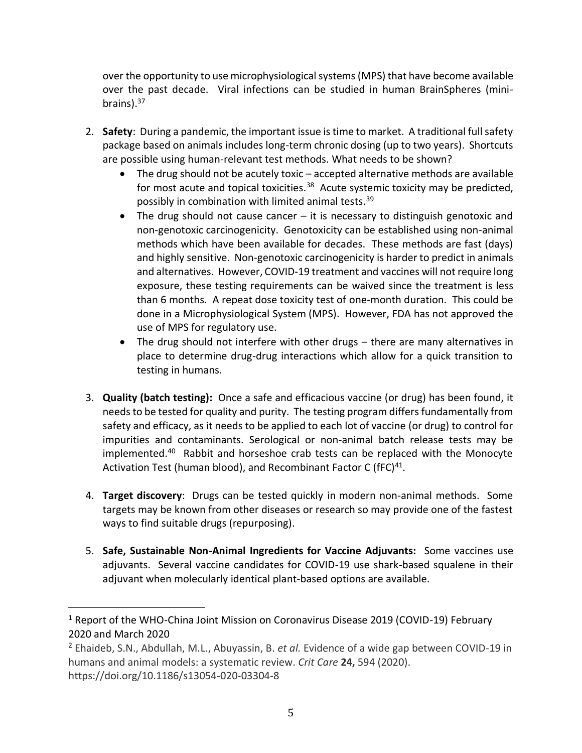over the opportunity to use microphysiological systems (MPS) that have become available over the past decade. Viral infections can be studied in human BrainSpheres (minibrains).<sup>37</sup>

- 2. **Safety**: During a pandemic, the important issue is time to market. A traditional full safety package based on animals includes long-term chronic dosing (up to two years). Shortcuts are possible using human-relevant test methods. What needs to be shown?
	- The drug should not be acutely toxic accepted alternative methods are available for most acute and topical toxicities.<sup>38</sup> Acute systemic toxicity may be predicted, possibly in combination with limited animal tests.<sup>39</sup>
	- The drug should not cause cancer  $-$  it is necessary to distinguish genotoxic and non-genotoxic carcinogenicity. Genotoxicity can be established using non-animal methods which have been available for decades. These methods are fast (days) and highly sensitive. Non-genotoxic carcinogenicity is harder to predict in animals and alternatives. However, COVID-19 treatment and vaccines will not require long exposure, these testing requirements can be waived since the treatment is less than 6 months. A repeat dose toxicity test of one-month duration. This could be done in a Microphysiological System (MPS). However, FDA has not approved the use of MPS for regulatory use.
	- The drug should not interfere with other drugs there are many alternatives in place to determine drug-drug interactions which allow for a quick transition to testing in humans.
- 3. **Quality (batch testing):** Once a safe and efficacious vaccine (or drug) has been found, it needs to be tested for quality and purity. The testing program differs fundamentally from safety and efficacy, as it needs to be applied to each lot of vaccine (or drug) to control for impurities and contaminants. Serological or non-animal batch release tests may be implemented.<sup>40</sup> Rabbit and horseshoe crab tests can be replaced with the Monocyte Activation Test (human blood), and Recombinant Factor C (fFC)<sup>41</sup>.
- 4. **Target discovery**: Drugs can be tested quickly in modern non-animal methods. Some targets may be known from other diseases or research so may provide one of the fastest ways to find suitable drugs (repurposing).
- 5. **Safe, Sustainable Non-Animal Ingredients for Vaccine Adjuvants:** Some vaccines use adjuvants. Several vaccine candidates for COVID-19 use shark-based squalene in their adjuvant when molecularly identical plant-based options are available.

<sup>&</sup>lt;sup>1</sup> Report of the WHO-China Joint Mission on Coronavirus Disease 2019 (COVID-19) February 2020 and March 2020

<sup>2</sup> Ehaideb, S.N., Abdullah, M.L., Abuyassin, B. *et al.* Evidence of a wide gap between COVID-19 in humans and animal models: a systematic review. *Crit Care* **24,** 594 (2020). https://doi.org/10.1186/s13054-020-03304-8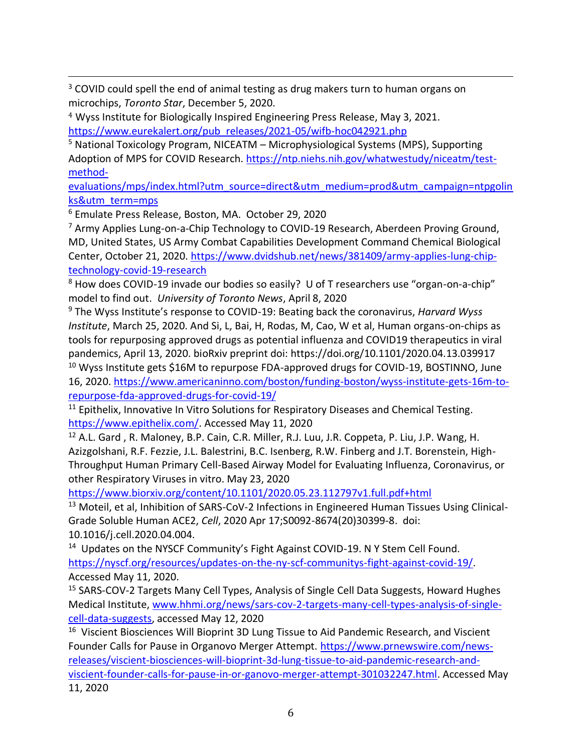<sup>3</sup> COVID could spell the end of animal testing as drug makers turn to human organs on microchips, *Toronto Star*, December 5, 2020.

<sup>4</sup> Wyss Institute for Biologically Inspired Engineering Press Release, May 3, 2021. [https://www.eurekalert.org/pub\\_releases/2021-05/wifb-hoc042921.php](https://www.eurekalert.org/pub_releases/2021-05/wifb-hoc042921.php)

<sup>5</sup> National Toxicology Program, NICEATM – Microphysiological Systems (MPS), Supporting Adoption of MPS for COVID Research[. https://ntp.niehs.nih.gov/whatwestudy/niceatm/test](https://ntp.niehs.nih.gov/whatwestudy/niceatm/test-method-evaluations/mps/index.html?utm_source=direct&utm_medium=prod&utm_campaign=ntpgolinks&utm_term=mps)[method-](https://ntp.niehs.nih.gov/whatwestudy/niceatm/test-method-evaluations/mps/index.html?utm_source=direct&utm_medium=prod&utm_campaign=ntpgolinks&utm_term=mps)

[evaluations/mps/index.html?utm\\_source=direct&utm\\_medium=prod&utm\\_campaign=ntpgolin](https://ntp.niehs.nih.gov/whatwestudy/niceatm/test-method-evaluations/mps/index.html?utm_source=direct&utm_medium=prod&utm_campaign=ntpgolinks&utm_term=mps) [ks&utm\\_term=mps](https://ntp.niehs.nih.gov/whatwestudy/niceatm/test-method-evaluations/mps/index.html?utm_source=direct&utm_medium=prod&utm_campaign=ntpgolinks&utm_term=mps)

<sup>6</sup> Emulate Press Release, Boston, MA. October 29, 2020

<sup>7</sup> Army Applies Lung-on-a-Chip Technology to COVID-19 Research, Aberdeen Proving Ground, MD, United States, US Army Combat Capabilities Development Command Chemical Biological Center, October 21, 2020. [https://www.dvidshub.net/news/381409/army-applies-lung-chip](https://www.dvidshub.net/news/381409/army-applies-lung-chip-technology-covid-19-research)[technology-covid-19-research](https://www.dvidshub.net/news/381409/army-applies-lung-chip-technology-covid-19-research)

<sup>8</sup> How does COVID-19 invade our bodies so easily? U of T researchers use "organ-on-a-chip" model to find out. *University of Toronto News*, April 8, 2020

<sup>9</sup> The Wyss Institute's response to COVID-19: Beating back the coronavirus, *Harvard Wyss Institute*, March 25, 2020. And Si, L, Bai, H, Rodas, M, Cao, W et al, Human organs-on-chips as tools for repurposing approved drugs as potential influenza and COVID19 therapeutics in viral pandemics, April 13, 2020. bioRxiv preprint doi: https://doi.org/10.1101/2020.04.13.039917

<sup>10</sup> Wyss Institute gets \$16M to repurpose FDA-approved drugs for COVID-19, BOSTINNO, June 16, 2020. [https://www.americaninno.com/boston/funding-boston/wyss-institute-gets-16m-to](https://www.americaninno.com/boston/funding-boston/wyss-institute-gets-16m-to-repurpose-fda-approved-drugs-for-covid-19/)[repurpose-fda-approved-drugs-for-covid-19/](https://www.americaninno.com/boston/funding-boston/wyss-institute-gets-16m-to-repurpose-fda-approved-drugs-for-covid-19/)

<sup>11</sup> Epithelix, Innovative In Vitro Solutions for Respiratory Diseases and Chemical Testing. [https://www.epithelix.com/.](https://www.epithelix.com/) Accessed May 11, 2020

<sup>12</sup> A.L. Gard, R. Maloney, B.P. Cain, C.R. Miller, R.J. Luu, J.R. Coppeta, P. Liu, J.P. Wang, H. Azizgolshani, R.F. Fezzie, J.L. Balestrini, B.C. Isenberg, R.W. Finberg and J.T. Borenstein, High-Throughput Human Primary Cell-Based Airway Model for Evaluating Influenza, Coronavirus, or other Respiratory Viruses in vitro. May 23, 2020

<https://www.biorxiv.org/content/10.1101/2020.05.23.112797v1.full.pdf+html>

<sup>13</sup> Moteil, et al, Inhibition of SARS-CoV-2 Infections in Engineered Human Tissues Using Clinical-Grade Soluble Human ACE2, *Cell*, 2020 Apr 17;S0092-8674(20)30399-8. doi: 10.1016/j.cell.2020.04.004.

<sup>14</sup> Updates on the NYSCF Community's Fight Against COVID-19. N Y Stem Cell Found. [https://nyscf.org/resources/updates-on-the-ny-scf-communitys-fight-against-covid-19/.](https://nyscf.org/resources/updates-on-the-ny-scf-communitys-fight-against-covid-19/) Accessed May 11, 2020.

<sup>15</sup> SARS-COV-2 Targets Many Cell Types, Analysis of Single Cell Data Suggests, Howard Hughes Medical Institute, [www.hhmi.org/news/sars-cov-2-targets-many-cell-types-analysis-of-single](http://www.hhmi.org/news/sars-cov-2-targets-many-cell-types-analysis-of-single-cell-data-suggests)[cell-data-suggests,](http://www.hhmi.org/news/sars-cov-2-targets-many-cell-types-analysis-of-single-cell-data-suggests) accessed May 12, 2020

<sup>16</sup> Viscient Biosciences Will Bioprint 3D Lung Tissue to Aid Pandemic Research, and Viscient Founder Calls for Pause in Organovo Merger Attempt. [https://www.prnewswire.com/news](https://www.prnewswire.com/news-releases/viscient-biosciences-will-bioprint-3d-lung-tissue-to-aid-pandemic-research-and-viscient-founder-calls-for-pause-in-or-ganovo-merger-attempt-301032247.html)[releases/viscient-biosciences-will-bioprint-3d-lung-tissue-to-aid-pandemic-research-and](https://www.prnewswire.com/news-releases/viscient-biosciences-will-bioprint-3d-lung-tissue-to-aid-pandemic-research-and-viscient-founder-calls-for-pause-in-or-ganovo-merger-attempt-301032247.html)[viscient-founder-calls-for-pause-in-or-ganovo-merger-attempt-301032247.html.](https://www.prnewswire.com/news-releases/viscient-biosciences-will-bioprint-3d-lung-tissue-to-aid-pandemic-research-and-viscient-founder-calls-for-pause-in-or-ganovo-merger-attempt-301032247.html) Accessed May 11, 2020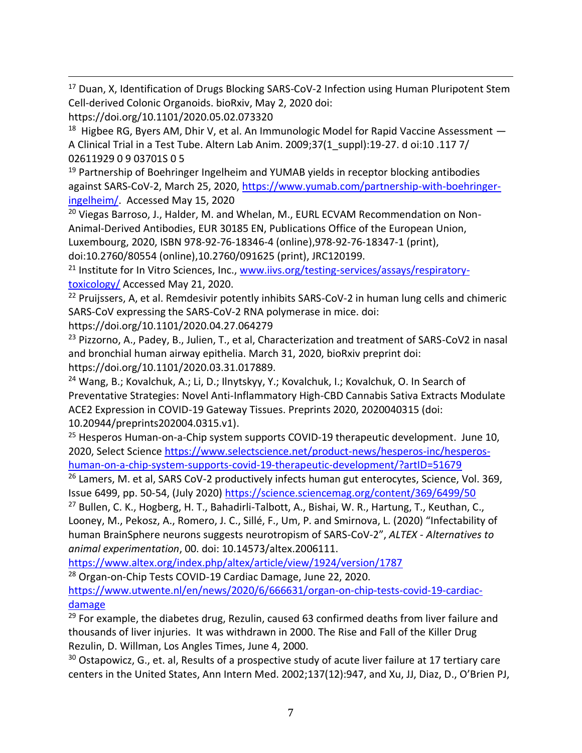<sup>17</sup> Duan, X, Identification of Drugs Blocking SARS-CoV-2 Infection using Human Pluripotent Stem Cell-derived Colonic Organoids. bioRxiv, May 2, 2020 doi: https://doi.org/10.1101/2020.05.02.073320

 $^{18}$  Higbee RG, Byers AM, Dhir V, et al. An Immunologic Model for Rapid Vaccine Assessment  $-$ A Clinical Trial in a Test Tube. Altern Lab Anim. 2009;37(1\_suppl):19-27. d oi:10 .117 7/ 02611929 0 9 03701S 0 5

<sup>19</sup> Partnership of Boehringer Ingelheim and YUMAB yields in receptor blocking antibodies against SARS-CoV-2, March 25, 2020, [https://www.yumab.com/partnership-with-boehringer](https://www.yumab.com/partnership-with-boehringer-ingelheim/)[ingelheim/.](https://www.yumab.com/partnership-with-boehringer-ingelheim/) Accessed May 15, 2020

<sup>20</sup> Viegas Barroso, J., Halder, M. and Whelan, M., EURL ECVAM Recommendation on Non-Animal-Derived Antibodies, EUR 30185 EN, Publications Office of the European Union, Luxembourg, 2020, ISBN 978-92-76-18346-4 (online),978-92-76-18347-1 (print),

doi:10.2760/80554 (online),10.2760/091625 (print), JRC120199. <sup>21</sup> Institute for In Vitro Sciences, Inc., [www.iivs.org/testing-services/assays/respiratory-](http://www.iivs.org/testing-services/assays/respiratory-toxicology/)

[toxicology/](http://www.iivs.org/testing-services/assays/respiratory-toxicology/) Accessed May 21, 2020.

<sup>22</sup> Pruijssers, A, et al. Remdesivir potently inhibits SARS-CoV-2 in human lung cells and chimeric SARS-CoV expressing the SARS-CoV-2 RNA polymerase in mice. doi:

https://doi.org/10.1101/2020.04.27.064279

<sup>23</sup> Pizzorno, A., Padey, B., Julien, T., et al, Characterization and treatment of SARS-CoV2 in nasal and bronchial human airway epithelia. March 31, 2020, bioRxiv preprint doi: https://doi.org/10.1101/2020.03.31.017889.

<sup>24</sup> Wang, B.; Kovalchuk, A.; Li, D.; Ilnytskyy, Y.; Kovalchuk, I.; Kovalchuk, O. In Search of Preventative Strategies: Novel Anti-Inflammatory High-CBD Cannabis Sativa Extracts Modulate ACE2 Expression in COVID-19 Gateway Tissues. Preprints 2020, 2020040315 (doi: 10.20944/preprints202004.0315.v1).

<sup>25</sup> Hesperos Human-on-a-Chip system supports COVID-19 therapeutic development. June 10, 2020, Select Science [https://www.selectscience.net/product-news/hesperos-inc/hesperos](https://www.selectscience.net/product-news/hesperos-inc/hesperos-human-on-a-chip-system-supports-covid-19-therapeutic-development/?artID=51679)[human-on-a-chip-system-supports-covid-19-therapeutic-development/?artID=51679](https://www.selectscience.net/product-news/hesperos-inc/hesperos-human-on-a-chip-system-supports-covid-19-therapeutic-development/?artID=51679)

<sup>26</sup> Lamers, M. et al, SARS CoV-2 productively infects human gut enterocytes, Science, Vol. 369, Issue 6499, pp. 50-54, (July 2020)<https://science.sciencemag.org/content/369/6499/50>

<sup>27</sup> Bullen, C. K., Hogberg, H. T., Bahadirli-Talbott, A., Bishai, W. R., Hartung, T., Keuthan, C., Looney, M., Pekosz, A., Romero, J. C., Sillé, F., Um, P. and Smirnova, L. (2020) "Infectability of human BrainSphere neurons suggests neurotropism of SARS-CoV-2", *ALTEX - Alternatives to animal experimentation*, 00. doi: 10.14573/altex.2006111.

<https://www.altex.org/index.php/altex/article/view/1924/version/1787>

<sup>28</sup> Organ-on-Chip Tests COVID-19 Cardiac Damage, June 22, 2020.

[https://www.utwente.nl/en/news/2020/6/666631/organ-on-chip-tests-covid-19-cardiac](https://www.utwente.nl/en/news/2020/6/666631/organ-on-chip-tests-covid-19-cardiac-damage)[damage](https://www.utwente.nl/en/news/2020/6/666631/organ-on-chip-tests-covid-19-cardiac-damage)

 $29$  For example, the diabetes drug, Rezulin, caused 63 confirmed deaths from liver failure and thousands of liver injuries. It was withdrawn in 2000. The Rise and Fall of the Killer Drug Rezulin, D. Willman, Los Angles Times, June 4, 2000.

 $30$  Ostapowicz, G., et. al, Results of a prospective study of acute liver failure at 17 tertiary care centers in the United States, Ann Intern Med. 2002;137(12):947, and Xu, JJ, Diaz, D., O'Brien PJ,